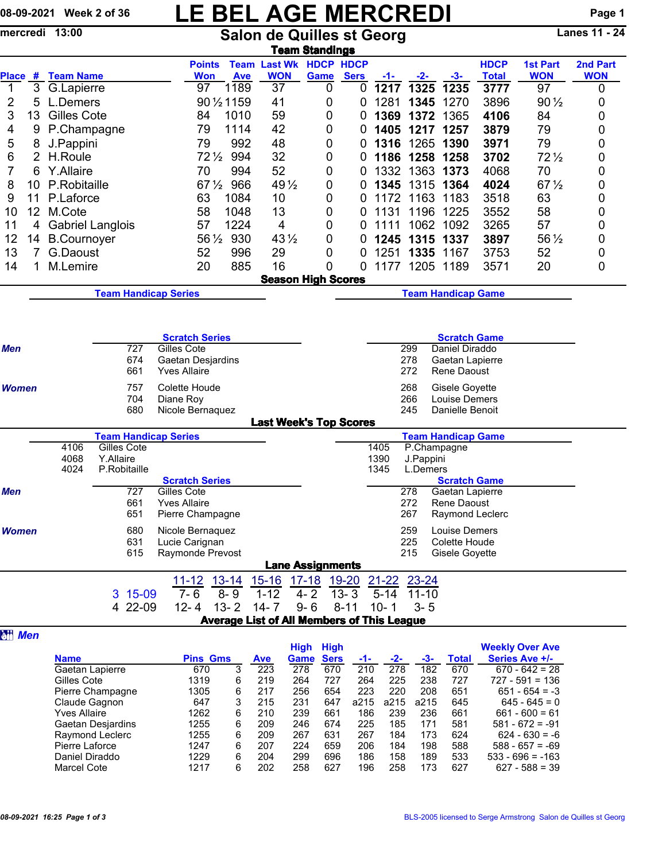## 08-09-2021 Week 2 of 36 LE BEL AGE MERCREDI Page 1

|              |                 | mercredi 13:00          |              |            |                                           | <b>Salon de Quilles st Georg</b> |             | Lanes 11 - 24                               |                         |             |                |          |            |                                |                             |                               |                        |
|--------------|-----------------|-------------------------|--------------|------------|-------------------------------------------|----------------------------------|-------------|---------------------------------------------|-------------------------|-------------|----------------|----------|------------|--------------------------------|-----------------------------|-------------------------------|------------------------|
| <b>Place</b> |                 | # Team Name             |              |            | <b>Points</b><br><b>Won</b>               |                                  | <b>Ave</b>  | <b>Team Last Wk HDCP HDCP</b><br><b>WON</b> | <u>Team Standings</u>   | <b>Game</b> | <b>Sers</b>    | $-1-$    | $-2-$      | $-3-$                          | <b>HDCP</b><br><b>Total</b> | <b>1st Part</b><br><b>WON</b> | 2nd Part<br><b>WON</b> |
| 1            | 3               | G.Lapierre              |              |            | 97                                        |                                  | 1189        | 37                                          |                         | 0           | 0              | 1217     | 1325       | 1235                           | 3777                        | 97                            | 0                      |
| 2            | 5               | L.Demers                |              |            |                                           |                                  | 90 1/2 1159 | 41                                          |                         | 0           | 0              | 1281     | 1345       | 1270                           | 3896                        | $90\frac{1}{2}$               | 0                      |
| 3            | 13              | Gilles Cote             |              |            | 84                                        |                                  | 1010        | 59                                          |                         | 0           | 0              | 1369     | 1372       | 1365                           | 4106                        | 84                            | 0                      |
| 4            | 9               | P.Champagne             |              |            | 79                                        |                                  | 1114        | 42                                          |                         | 0           | 0              |          | 1405 1217  | 1257                           | 3879                        | 79                            | 0                      |
| 5            | 8               | J.Pappini               |              |            |                                           | 79                               | 992         | 48                                          |                         | 0           | 0              | 1316     |            | 1265 1390                      | 3971                        | 79                            | 0                      |
| 6            | $\overline{2}$  | H.Roule                 |              |            |                                           | $72\frac{1}{2}$                  | 994         | 32                                          |                         | 0           | 0              | 1186     | 1258       | 1258                           | 3702                        | $72\frac{1}{2}$               | 0                      |
| 7            | 6               | Y.Allaire               |              |            | 70                                        |                                  | 994         | 52                                          |                         | 0           | 0              | 1332     | 1363       | 1373                           | 4068                        | 70                            | 0                      |
| 8            | 10              | P.Robitaille            |              |            |                                           | $67\frac{1}{2}$                  | 966         | 49 $\frac{1}{2}$                            |                         | 0           | 0              | 1345     | 1315       | 1364                           | 4024                        | $67\frac{1}{2}$               | 0                      |
| 9            | 11              | P.Laforce               |              |            | 63                                        |                                  | 1084        | 10                                          |                         | 0           | 0              | 1172     | 1163       | 1183                           | 3518                        | 63                            | 0                      |
| 10           | 12 <sup>°</sup> | M.Cote                  |              |            | 58                                        |                                  | 1048        | 13                                          |                         | 0           | 0              | 1131     | 1196       | 1225                           | 3552                        | 58                            | 0                      |
| 11           | 4               | <b>Gabriel Langlois</b> |              |            | 57                                        |                                  | 1224        | 4                                           |                         | 0           | 0              | 1111     | 1062       | 1092                           | 3265                        | 57                            | 0                      |
| 12           |                 | 14 B.Cournoyer          |              |            |                                           | 56 1/2                           | 930         | 43 1/2                                      |                         | 0           | 0              | 1245     |            | 1315 1337                      | 3897                        | 56 1/2                        | 0                      |
| 13           | $\overline{7}$  | G.Daoust                |              |            | 52                                        |                                  | 996         | 29                                          |                         | 0           | 0              | 1251     | 1335       | 1167                           | 3753                        | 52                            | 0                      |
| 14           | 1               | M.Lemire                |              |            | 20                                        |                                  | 885         | 16                                          |                         | 0           | 0              | 1177     |            | 1205 1189                      | 3571                        | 20                            | 0                      |
|              |                 |                         |              |            |                                           |                                  |             | <b>Season High Scores</b>                   |                         |             |                |          |            |                                |                             |                               |                        |
|              |                 |                         |              |            | <b>Team Handicap Series</b>               |                                  |             |                                             |                         |             |                |          |            | <b>Team Handicap Game</b>      |                             |                               |                        |
|              |                 |                         |              |            |                                           |                                  |             |                                             |                         |             |                |          |            |                                |                             |                               |                        |
|              |                 |                         |              |            | <b>Scratch Series</b>                     |                                  |             |                                             |                         |             |                |          |            | <b>Scratch Game</b>            |                             |                               |                        |
| Men          |                 |                         |              | 727        | Gilles Cote                               |                                  |             |                                             |                         |             |                |          | 299        | Daniel Diraddo                 |                             |                               |                        |
|              |                 |                         |              | 674<br>661 | Gaetan Desjardins<br><b>Yves Allaire</b>  |                                  |             |                                             |                         |             |                |          | 278<br>272 | Gaetan Lapierre<br>Rene Daoust |                             |                               |                        |
| <b>Women</b> |                 | 757                     |              |            | Colette Houde                             |                                  |             |                                             |                         |             |                |          | 268        | Gisele Goyette                 |                             |                               |                        |
|              |                 | 704                     |              |            | Diane Roy                                 |                                  |             |                                             |                         |             |                |          | 266        | Louise Demers                  |                             |                               |                        |
|              |                 |                         |              | 680        | Nicole Bernaquez                          |                                  |             | <b>Last Week's Top Scores</b>               |                         |             |                |          | 245        | Danielle Benoit                |                             |                               |                        |
|              |                 |                         |              |            | <b>Team Handicap Series</b>               |                                  |             |                                             |                         |             |                |          |            | <b>Team Handicap Game</b>      |                             |                               |                        |
|              |                 | 4106                    | Gilles Cote  |            |                                           |                                  |             |                                             |                         |             |                | 1405     |            | P.Champagne                    |                             |                               |                        |
|              |                 | 4068                    | Y.Allaire    |            |                                           |                                  |             |                                             |                         |             |                | 1390     | J.Pappini  |                                |                             |                               |                        |
|              |                 | 4024                    | P.Robitaille |            |                                           |                                  |             |                                             |                         |             |                | 1345     | L.Demers   |                                |                             |                               |                        |
|              |                 |                         |              | 727        | <b>Scratch Series</b><br>Gilles Cote      |                                  |             |                                             |                         |             |                |          | 278        | <b>Scratch Game</b>            |                             |                               |                        |
| Men          |                 |                         |              | 661        | <b>Yves Allaire</b>                       |                                  |             |                                             |                         |             |                |          | 272        | Gaetan Lapierre<br>Rene Daoust |                             |                               |                        |
|              |                 |                         |              | 651        | Pierre Champagne                          |                                  |             |                                             |                         |             |                |          | 267        | Raymond Leclerc                |                             |                               |                        |
| Women        |                 |                         |              | 680        | Nicole Bernaquez                          |                                  |             |                                             |                         |             |                |          | 259        | Louise Demers                  |                             |                               |                        |
|              |                 |                         |              | 631        | Lucie Carignan                            |                                  |             |                                             |                         |             |                |          | 225        | Colette Houde                  |                             |                               |                        |
|              |                 |                         |              | 615        | Raymonde Prevost                          |                                  |             |                                             |                         |             |                |          | 215        | Gisele Goyette                 |                             |                               |                        |
|              |                 |                         |              |            |                                           |                                  |             |                                             | <b>Lane Assignments</b> |             |                |          |            |                                |                             |                               |                        |
|              |                 |                         |              |            | 11-12 13-14 15-16 17-18 19-20 21-22 23-24 |                                  |             |                                             |                         |             |                |          |            |                                |                             |                               |                        |
|              |                 |                         |              | 3 15-09    | $7 - 6$                                   |                                  | $8 - 9$     | $1 - 12$                                    |                         |             | $4 - 2$ 13 - 3 |          | 5-14 11-10 |                                |                             |                               |                        |
|              |                 |                         |              | 4 22-09    |                                           |                                  |             | 12-4 13-2 14-7                              | $9 - 6$                 |             | $8 - 11$       | $10 - 1$ | $3 - 5$    |                                |                             |                               |                        |

**a**<sub>*Men*</sub>

Average List of All Members of This League

|                    |                 |   |            | High | <b>High</b> |      |      |      |              | <b>Weekly Over Ave</b> |
|--------------------|-----------------|---|------------|------|-------------|------|------|------|--------------|------------------------|
| <b>Name</b>        | <b>Pins Gms</b> |   | <b>Ave</b> | Game | <b>Sers</b> | -1-  | -2-  | -3-  | <b>Total</b> | Series Ave +/-         |
| Gaetan Lapierre    | 670             | 3 | 223        | 278  | 670         | 210  | 278  | 182  | 670          | $670 - 642 = 28$       |
| Gilles Cote        | 1319            | 6 | 219        | 264  | 727         | 264  | 225  | 238  | 727          | $727 - 591 = 136$      |
| Pierre Champagne   | 1305            | 6 | 217        | 256  | 654         | 223  | 220  | 208  | 651          | $651 - 654 = -3$       |
| Claude Gagnon      | 647             | 3 | 215        | 231  | 647         | a215 | a215 | a215 | 645          | $645 - 645 = 0$        |
| Yves Allaire       | 1262            | 6 | 210        | 239  | 661         | 186  | 239  | 236  | 661          | $661 - 600 = 61$       |
| Gaetan Desjardins  | 1255            | 6 | 209        | 246  | 674         | 225  | 185  | 171  | 581          | $581 - 672 = -91$      |
| Raymond Leclerc    | 1255            | 6 | 209        | 267  | 631         | 267  | 184  | 173  | 624          | $624 - 630 = -6$       |
| Pierre Laforce     | 1247            | 6 | 207        | 224  | 659         | 206  | 184  | 198  | 588          | $588 - 657 = -69$      |
| Daniel Diraddo     | 1229            | 6 | 204        | 299  | 696         | 186  | 158  | 189  | 533          | $533 - 696 = -163$     |
| <b>Marcel Cote</b> | 1217            | 6 | 202        | 258  | 627         | 196  | 258  | 173  | 627          | $627 - 588 = 39$       |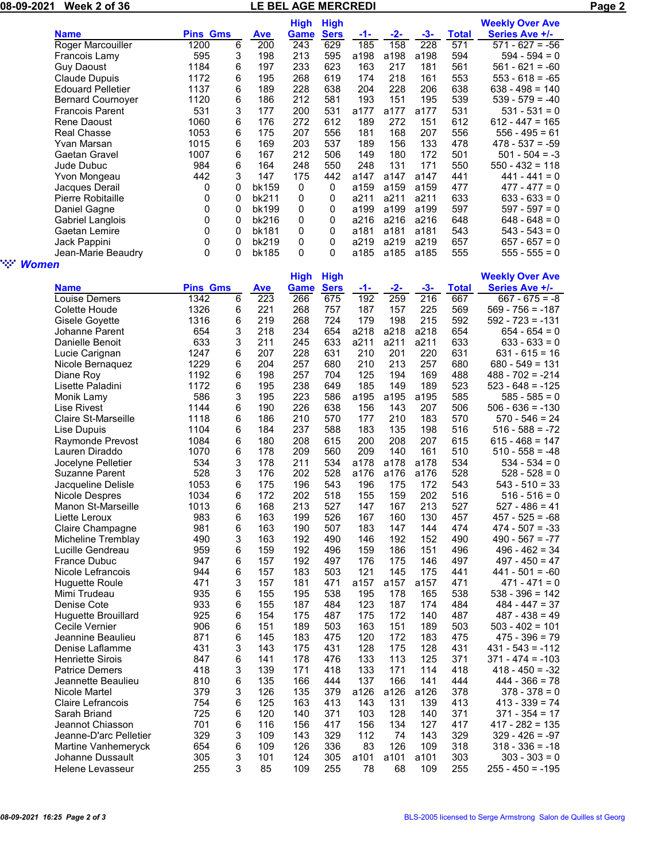|                        | 08-09-2021 Week 2 of 36                 |                 |        | LE BEL AGE MERCREDI |             |             |             |              |              |              |                                       | Page 2 |
|------------------------|-----------------------------------------|-----------------|--------|---------------------|-------------|-------------|-------------|--------------|--------------|--------------|---------------------------------------|--------|
|                        |                                         |                 |        |                     | <b>High</b> | <b>High</b> |             |              |              |              | <b>Weekly Over Ave</b>                |        |
|                        | <b>Name</b>                             | <b>Pins Gms</b> |        | <b>Ave</b>          | <b>Game</b> | <b>Sers</b> | $-1-$       | $-2-$        | $-3-$        | <b>Total</b> | <b>Series Ave +/-</b>                 |        |
|                        | Roger Marcouiller                       | 1200            | 6      | 200                 | 243         | 629         | 185         | 158          | 228          | 571          | $571 - 627 = -56$                     |        |
|                        | Francois Lamy                           | 595             | 3      | 198                 | 213         | 595         | a198        | a198         | a198         | 594          | $594 - 594 = 0$                       |        |
|                        | <b>Guy Daoust</b>                       | 1184            | 6      | 197                 | 233         | 623         | 163         | 217          | 181          | 561          | $561 - 621 = -60$                     |        |
|                        | <b>Claude Dupuis</b>                    | 1172            | 6      | 195                 | 268         | 619         | 174         | 218          | 161          | 553          | $553 - 618 = -65$                     |        |
|                        | <b>Edouard Pelletier</b>                | 1137            | 6      | 189                 | 228         | 638         | 204         | 228          | 206          | 638          | $638 - 498 = 140$                     |        |
|                        | <b>Bernard Cournoyer</b>                | 1120            | 6      | 186                 | 212         | 581         | 193         | 151          | 195          | 539          | $539 - 579 = -40$                     |        |
|                        | <b>Francois Parent</b><br>Rene Daoust   | 531             | 3      | 177                 | 200         | 531         | a177        | a177         | a177         | 531          | $531 - 531 = 0$                       |        |
|                        | <b>Real Chasse</b>                      | 1060<br>1053    | 6<br>6 | 176<br>175          | 272<br>207  | 612<br>556  | 189<br>181  | 272<br>168   | 151<br>207   | 612<br>556   | $612 - 447 = 165$<br>$556 - 495 = 61$ |        |
|                        | Yvan Marsan                             | 1015            | 6      | 169                 | 203         | 537         | 189         | 156          | 133          | 478          | $478 - 537 = -59$                     |        |
|                        | Gaetan Gravel                           | 1007            | 6      | 167                 | 212         | 506         | 149         | 180          | 172          | 501          | $501 - 504 = -3$                      |        |
|                        | Jude Dubuc                              | 984             | 6      | 164                 | 248         | 550         | 248         | 131          | 171          | 550          | $550 - 432 = 118$                     |        |
|                        | Yvon Mongeau                            | 442             | 3      | 147                 | 175         | 442         | a147        | a147         | a147         | 441          | $441 - 441 = 0$                       |        |
|                        | Jacques Derail                          | 0               | 0      | bk159               | 0           | 0           | a159        | a159         | a159         | 477          | $477 - 477 = 0$                       |        |
|                        | Pierre Robitaille                       | 0               | 0      | bk211               | 0           | 0           | a211        | a211         | a211         | 633          | $633 - 633 = 0$                       |        |
|                        | Daniel Gagne                            | 0               | 0      | bk199               | 0           | 0           | a199        | a199         | a199         | 597          | $597 - 597 = 0$                       |        |
|                        | Gabriel Langlois                        | 0               | 0      | bk216               | 0           | 0           | a216        | a216         | a216         | 648          | $648 - 648 = 0$                       |        |
|                        | Gaetan Lemire                           | 0               | 0      | bk181               | 0           | 0           | a181        | a181         | a181         | 543          | $543 - 543 = 0$                       |        |
|                        | Jack Pappini                            | 0               | 0      | bk219               | 0           | 0           | a219        | a219         | a219         | 657          | $657 - 657 = 0$                       |        |
|                        | Jean-Marie Beaudry                      | 0               | 0      | bk185               | 0           | $\mathbf 0$ | a185        | a185 a185    |              | 555          | $555 - 555 = 0$                       |        |
| ngan i<br><b>Women</b> |                                         |                 |        |                     |             |             |             |              |              |              |                                       |        |
|                        |                                         |                 |        |                     | <b>High</b> | <b>High</b> |             |              |              |              | <b>Weekly Over Ave</b>                |        |
|                        | <b>Name</b>                             | <b>Pins Gms</b> |        | <b>Ave</b>          | Game        | <b>Sers</b> | -1-         | $-2-$        | $-3-$        | <b>Total</b> | <b>Series Ave +/-</b>                 |        |
|                        | Louise Demers                           | 1342            | 6      | $\overline{223}$    | 266         | 675         | 192         | 259          | 216          | 667          | $667 - 675 = -8$                      |        |
|                        | Colette Houde                           | 1326            | 6      | 221                 | 268         | 757         | 187         | 157          | 225          | 569          | $569 - 756 = -187$                    |        |
|                        | Gisele Goyette                          | 1316            | 6      | 219                 | 268         | 724         | 179         | 198          | 215          | 592          | $592 - 723 = -131$                    |        |
|                        | Johanne Parent<br>Danielle Benoit       | 654<br>633      | 3<br>3 | 218<br>211          | 234<br>245  | 654         | a218        | a218<br>a211 | a218<br>a211 | 654<br>633   | $654 - 654 = 0$                       |        |
|                        |                                         | 1247            | 6      | 207                 | 228         | 633<br>631  | a211<br>210 | 201          | 220          | 631          | $633 - 633 = 0$<br>$631 - 615 = 16$   |        |
|                        | Lucie Carignan<br>Nicole Bernaquez      | 1229            | 6      | 204                 | 257         | 680         | 210         | 213          | 257          | 680          | $680 - 549 = 131$                     |        |
|                        | Diane Roy                               | 1192            | 6      | 198                 | 257         | 704         | 125         | 194          | 169          | 488          | $488 - 702 = -214$                    |        |
|                        | Lisette Paladini                        | 1172            | 6      | 195                 | 238         | 649         | 185         | 149          | 189          | 523          | $523 - 648 = -125$                    |        |
|                        | Monik Lamy                              | 586             | 3      | 195                 | 223         | 586         | a195        | a195         | a195         | 585          | $585 - 585 = 0$                       |        |
|                        | Lise Rivest                             | 1144            | 6      | 190                 | 226         | 638         | 156         | 143          | 207          | 506          | $506 - 636 = -130$                    |        |
|                        | Claire St-Marseille                     | 1118            | 6      | 186                 | 210         | 570         | 177         | 210          | 183          | 570          | $570 - 546 = 24$                      |        |
|                        | Lise Dupuis                             | 1104            | 6      | 184                 | 237         | 588         | 183         | 135          | 198          | 516          | $516 - 588 = -72$                     |        |
|                        | Raymonde Prevost                        | 1084            | 6      | 180                 | 208         | 615         | 200         | 208          | 207          | 615          | $615 - 468 = 147$                     |        |
|                        | Lauren Diraddo                          | 1070            | 6      | 178                 | 209         | 560         | 209         | 140          | 161          | 510          | $510 - 558 = -48$                     |        |
|                        | Jocelyne Pelletier                      | 534             | 3      | 178                 | 211         | 534         | a178        | a178         | a178         | 534          | $534 - 534 = 0$                       |        |
|                        | Suzanne Parent                          | 528             | 3      | 176                 | 202         | 528         | a176        | a176         | a176         | 528          | $528 - 528 = 0$                       |        |
|                        | Jacqueline Delisle                      | 1053            | 6      | 175                 | 196         | 543         | 196         | 175          | 172          | 543          | $543 - 510 = 33$                      |        |
|                        | <b>Nicole Despres</b>                   | 1034            | 6      | 172                 | 202         | 518         | 155         | 159          | 202          | 516          | $516 - 516 = 0$                       |        |
|                        | Manon St-Marseille                      | 1013            | 6      | 168                 | 213         | 527         | 147         | 167          | 213          | 527          | $527 - 486 = 41$                      |        |
|                        | Liette Leroux                           | 983             | 6      | 163                 | 199         | 526         | 167         | 160          | 130          | 457          | $457 - 525 = -68$                     |        |
|                        | Claire Champagne                        | 981             | 6      | 163                 | 190         | 507         | 183         | 147          | 144          | 474          | $474 - 507 = -33$                     |        |
|                        | Micheline Tremblay                      | 490             | 3      | 163                 | 192         | 490         | 146         | 192          | 152          | 490          | $490 - 567 = -77$                     |        |
|                        | Lucille Gendreau<br><b>France Dubuc</b> | 959<br>947      | 6<br>6 | 159<br>157          | 192<br>192  | 496<br>497  | 159<br>176  | 186          | 151<br>146   | 496<br>497   | $496 - 462 = 34$                      |        |
|                        | Nicole Lefrancois                       | 944             | 6      | 157                 | 183         | 503         | 121         | 175<br>145   | 175          | 441          | $497 - 450 = 47$<br>$441 - 501 = -60$ |        |
|                        | <b>Huguette Roule</b>                   | 471             | 3      | 157                 | 181         | 471         | a157        | a157         | a157         | 471          | $471 - 471 = 0$                       |        |
|                        | Mimi Trudeau                            | 935             | 6      | 155                 | 195         | 538         | 195         | 178          | 165          | 538          | $538 - 396 = 142$                     |        |
|                        | Denise Cote                             | 933             | 6      | 155                 | 187         | 484         | 123         | 187          | 174          | 484          | $484 - 447 = 37$                      |        |
|                        | <b>Huguette Brouillard</b>              | 925             | 6      | 154                 | 175         | 487         | 175         | 172          | 140          | 487          | $487 - 438 = 49$                      |        |
|                        | Cecile Vernier                          | 906             | 6      | 151                 | 189         | 503         | 163         | 151          | 189          | 503          | $503 - 402 = 101$                     |        |
|                        | Jeannine Beaulieu                       | 871             | 6      | 145                 | 183         | 475         | 120         | 172          | 183          | 475          | $475 - 396 = 79$                      |        |
|                        | Denise Laflamme                         | 431             | 3      | 143                 | 175         | 431         | 128         | 175          | 128          | 431          | $431 - 543 = -112$                    |        |
|                        | <b>Henriette Sirois</b>                 | 847             | 6      | 141                 | 178         | 476         | 133         | 113          | 125          | 371          | $371 - 474 = -103$                    |        |
|                        | <b>Patrice Demers</b>                   | 418             | 3      | 139                 | 171         | 418         | 133         | 171          | 114          | 418          | $418 - 450 = -32$                     |        |
|                        | Jeannette Beaulieu                      | 810             | 6      | 135                 | 166         | 444         | 137         | 166          | 141          | 444          | $444 - 366 = 78$                      |        |
|                        | Nicole Martel                           | 379             | 3      | 126                 | 135         | 379         | a126        | a126         | a126         | 378          | $378 - 378 = 0$                       |        |
|                        | <b>Claire Lefrancois</b>                | 754             | 6      | 125                 | 163         | 413         | 143         | 131          | 139          | 413          | $413 - 339 = 74$                      |        |
|                        | Sarah Briand                            | 725             | 6      | 120                 | 140         | 371         | 103         | 128          | 140          | 371          | $371 - 354 = 17$                      |        |
|                        | Jeannot Chiasson                        | 701             | 6      | 116                 | 156         | 417         | 156         | 134          | 127          | 417          | $417 - 282 = 135$                     |        |
|                        | Jeanne-D'arc Pelletier                  | 329             | 3      | 109                 | 143         | 329         | 112         | 74           | 143          | 329          | $329 - 426 = -97$                     |        |
|                        | Martine Vanhemeryck                     | 654             | 6      | 109                 | 126         | 336         | 83          | 126          | 109          | 318          | $318 - 336 = -18$                     |        |
|                        | Johanne Dussault                        | 305             | 3      | 101                 | 124         | 305         | a101        | a101         | a101         | 303          | $303 - 303 = 0$                       |        |
|                        | Helene Levasseur                        | 255             | 3      | 85                  | 109         | 255         | 78          | 68           | 109          | 255          | $255 - 450 = -195$                    |        |